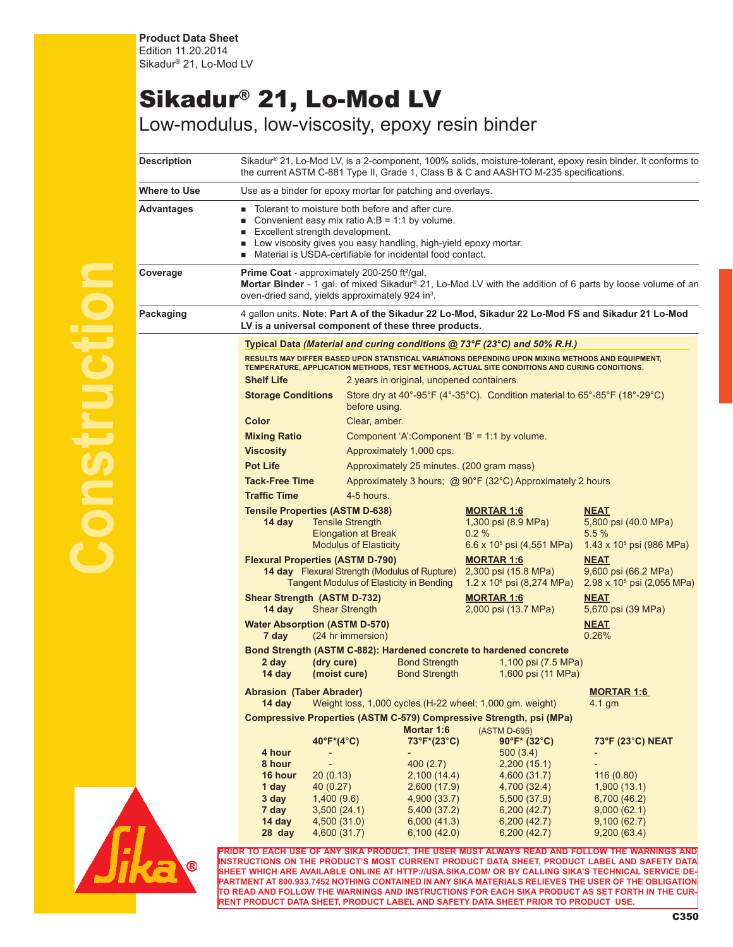## Sikadur® 21, Lo-Mod LV

Low-modulus, low-viscosity, epoxy resin binder

| Description  | Sikadur® 21, Lo-Mod LV, is a 2-component, 100% solids, moisture-tolerant, epoxy resin binder. It conforms to<br>the current ASTM C-881 Type II, Grade 1, Class B & C and AASHTO M-235 specifications.                                                                                       |                                                                                                                    |                                                                                           |                                                                                     |  |
|--------------|---------------------------------------------------------------------------------------------------------------------------------------------------------------------------------------------------------------------------------------------------------------------------------------------|--------------------------------------------------------------------------------------------------------------------|-------------------------------------------------------------------------------------------|-------------------------------------------------------------------------------------|--|
| Where to Use | Use as a binder for epoxy mortar for patching and overlays.                                                                                                                                                                                                                                 |                                                                                                                    |                                                                                           |                                                                                     |  |
| Advantages   | Tolerant to moisture both before and after cure.<br>Convenient easy mix ratio $A:B = 1:1$ by volume.<br>ш<br>Excellent strength development.<br>п<br>Low viscosity gives you easy handling, high-yield epoxy mortar.<br>п<br>Material is USDA-certifiable for incidental food contact.<br>п |                                                                                                                    |                                                                                           |                                                                                     |  |
| Coverage     | Prime Coat - approximately 200-250 ft <sup>2</sup> /gal.<br>Mortar Binder - 1 gal. of mixed Sikadur® 21, Lo-Mod LV with the addition of 6 parts by loose volume of an<br>oven-dried sand, yields approximately 924 in <sup>3</sup> .                                                        |                                                                                                                    |                                                                                           |                                                                                     |  |
| Packaging    | 4 gallon units. Note: Part A of the Sikadur 22 Lo-Mod, Sikadur 22 Lo-Mod FS and Sikadur 21 Lo-Mod<br>LV is a universal component of these three products.                                                                                                                                   |                                                                                                                    |                                                                                           |                                                                                     |  |
|              | Typical Data (Material and curing conditions @ 73°F (23°C) and 50% R.H.)                                                                                                                                                                                                                    |                                                                                                                    |                                                                                           |                                                                                     |  |
|              | RESULTS MAY DIFFER BASED UPON STATISTICAL VARIATIONS DEPENDING UPON MIXING METHODS AND EQUIPMENT,<br>TEMPERATURE, APPLICATION METHODS, TEST METHODS, ACTUAL SITE CONDITIONS AND CURING CONDITIONS.<br><b>Shelf Life</b><br>2 years in original, unopened containers.                        |                                                                                                                    |                                                                                           |                                                                                     |  |
|              | <b>Storage Conditions</b>                                                                                                                                                                                                                                                                   | Store dry at 40°-95°F (4°-35°C). Condition material to 65°-85°F (18°-29°C)<br>before using.                        |                                                                                           |                                                                                     |  |
|              | <b>Color</b><br>Clear, amber.                                                                                                                                                                                                                                                               |                                                                                                                    |                                                                                           |                                                                                     |  |
|              | <b>Mixing Ratio</b>                                                                                                                                                                                                                                                                         | Component 'A':Component 'B' = 1:1 by volume.                                                                       |                                                                                           |                                                                                     |  |
|              | <b>Viscosity</b>                                                                                                                                                                                                                                                                            | Approximately 1,000 cps.                                                                                           |                                                                                           |                                                                                     |  |
|              | <b>Pot Life</b><br>Approximately 25 minutes. (200 gram mass)<br><b>Tack-Free Time</b><br>Approximately 3 hours; @ 90°F (32°C) Approximately 2 hours<br><b>Traffic Time</b><br>4-5 hours.                                                                                                    |                                                                                                                    |                                                                                           |                                                                                     |  |
|              |                                                                                                                                                                                                                                                                                             |                                                                                                                    |                                                                                           |                                                                                     |  |
|              |                                                                                                                                                                                                                                                                                             |                                                                                                                    |                                                                                           |                                                                                     |  |
|              | <b>Tensile Properties (ASTM D-638)</b><br>14 day                                                                                                                                                                                                                                            | <b>Tensile Strength</b><br><b>Elongation at Break</b><br><b>Modulus of Elasticity</b>                              | <b>MORTAR 1:6</b><br>1,300 psi (8.9 MPa)<br>0.2%<br>6.6 x 10 <sup>5</sup> psi (4,551 MPa) | <b>NEAT</b><br>5,800 psi (40.0 MPa)<br>5.5%<br>1.43 x 10 <sup>5</sup> psi (986 MPa) |  |
|              | <b>Flexural Properties (ASTM D-790)</b><br><b>14 day</b> Flexural Strength (Modulus of Rupture)<br><b>Tangent Modulus of Elasticity in Bending</b>                                                                                                                                          |                                                                                                                    | <b>MORTAR 1:6</b><br>2,300 psi (15.8 MPa)<br>$1.2 \times 10^6$ psi (8,274 MPa)            | <b>NEAT</b><br>9,600 psi (66.2 MPa)<br>$2.98 \times 10^5$ psi (2,055 MPa)           |  |
|              | <b>Shear Strength (ASTM D-732)</b><br>14 day                                                                                                                                                                                                                                                | <b>Shear Strength</b>                                                                                              | <b>MORTAR 1:6</b><br>2,000 psi (13.7 MPa)                                                 | <b>NEAT</b><br>5,670 psi (39 MPa)                                                   |  |
|              | <b>Water Absorption (ASTM D-570)</b><br>7 day                                                                                                                                                                                                                                               | (24 hr immersion)                                                                                                  |                                                                                           | <b>NEAT</b><br>0.26%                                                                |  |
|              | (dry cure)<br>2 day<br>14 day<br>(moist cure)                                                                                                                                                                                                                                               | Bond Strength (ASTM C-882): Hardened concrete to hardened concrete<br><b>Bond Strength</b><br><b>Bond Strength</b> | 1,100 psi (7.5 MPa)<br>1,600 psi (11 MPa)                                                 |                                                                                     |  |
|              | <b>Abrasion (Taber Abrader)</b><br><b>MORTAR 1:6</b><br>14 day<br>Weight loss, 1,000 cycles (H-22 wheel; 1,000 gm. weight)<br>4.1 gm                                                                                                                                                        |                                                                                                                    |                                                                                           |                                                                                     |  |
|              | <b>Compressive Properties (ASTM C-579) Compressive Strength, psi (MPa)</b><br>Mortar 1:6<br>(ASTM D-695)                                                                                                                                                                                    |                                                                                                                    |                                                                                           |                                                                                     |  |
|              | $40^{\circ}F^*(4^{\circ}C)$                                                                                                                                                                                                                                                                 | 73°F*(23°C)                                                                                                        | $90^{\circ}F^{*}$ (32°C)                                                                  | 73°F (23°C) NEAT                                                                    |  |
|              | 4 hour                                                                                                                                                                                                                                                                                      |                                                                                                                    | 500(3.4)                                                                                  |                                                                                     |  |
|              | 8 hour                                                                                                                                                                                                                                                                                      | 400 (2.7)                                                                                                          | 2,200(15.1)                                                                               |                                                                                     |  |
|              | 16 hour<br>20(0.13)<br>40 (0.27)                                                                                                                                                                                                                                                            | 2,100(14.4)                                                                                                        | 4,600 (31.7)<br>4,700 (32.4)                                                              | 116(0.80)<br>1,900(13.1)                                                            |  |
|              | 1 day<br>3 day<br>1,400(9.6)                                                                                                                                                                                                                                                                | 2,600 (17.9)<br>4,900 (33.7)                                                                                       | 5,500 (37.9)                                                                              | 6,700 (46.2)                                                                        |  |
|              | 7 day<br>3,500(24.1)                                                                                                                                                                                                                                                                        | 5,400 (37.2)                                                                                                       | 6,200(42.7)                                                                               | 9,000(62.1)                                                                         |  |
|              | 14 day<br>4,500 (31.0)                                                                                                                                                                                                                                                                      | 6,000 (41.3)                                                                                                       | 6,200(42.7)                                                                               | 9,100(62.7)                                                                         |  |
|              | 4,600 (31.7)<br>28 day                                                                                                                                                                                                                                                                      | 6,100(42.0)<br>PRIOR TO EACH USE OF ANY SIKA PRODUCT, THE USER MUST ALWAYS READ AND FOLLOW THE WARNINGS AND        | 6,200(42.7)                                                                               | 9,200(63.4)                                                                         |  |
| ®            |                                                                                                                                                                                                                                                                                             | INSTRUCTIONS ON THE PRODUCT'S MOST CURRENT PRODUCT DATA SHEET, PRODUCT LABEL AND SAFETY DATA                       |                                                                                           |                                                                                     |  |





**SHEET WHICH ARE AVAILABLE ONLINE AT HTTP://USA.SIKA.COM/ OR BY CALLING SIKA'S TECHNICAL SERVICE DE-PARTMENT AT 800.933.7452 NOTHING CONTAINED IN ANY SIKA MATERIALS RELIEVES THE USER OF THE OBLIGATION TO READ AND FOLLOW THE WARNINGS AND INSTRUCTIONS FOR EACH SIKA PRODUCT AS SET FORTH IN THE CUR-RENT PRODUCT DATA SHEET, PRODUCT LABEL AND SAFETY DATA SHEET PRIOR TO PRODUCT USE.**